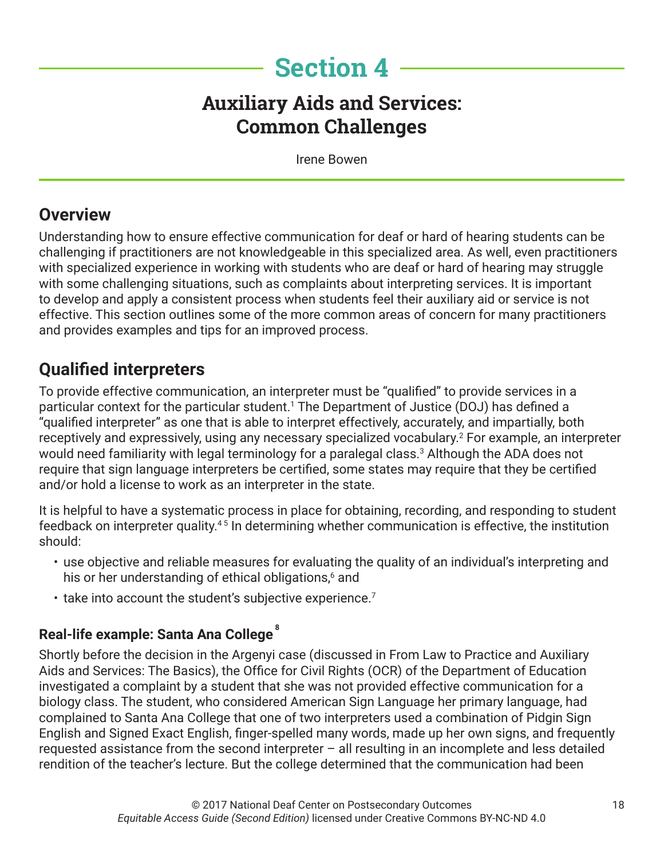# **Section 4**

# **Auxiliary Aids and Services: Common Challenges**

Irene Bowen

## **Overview**

Understanding how to ensure effective communication for deaf or hard of hearing students can be challenging if practitioners are not knowledgeable in this specialized area. As well, even practitioners with specialized experience in working with students who are deaf or hard of hearing may struggle with some challenging situations, such as complaints about interpreting services. It is important to develop and apply a consistent process when students feel their auxiliary aid or service is not effective. This section outlines some of the more common areas of concern for many practitioners and provides examples and tips for an improved process.

# **Qualified interpreters**

To provide effective communication, an interpreter must be "qualified" to provide services in a particular context for the particular student.1 The Department of Justice (DOJ) has defined a "qualified interpreter" as one that is able to interpret effectively, accurately, and impartially, both receptively and expressively, using any necessary specialized vocabulary.2 For example, an interpreter would need familiarity with legal terminology for a paralegal class. $^3$  Although the ADA does not require that sign language interpreters be certified, some states may require that they be certified and/or hold a license to work as an interpreter in the state.

It is helpful to have a systematic process in place for obtaining, recording, and responding to student feedback on interpreter quality.4 5 In determining whether communication is effective, the institution should:

- use objective and reliable measures for evaluating the quality of an individual's interpreting and his or her understanding of ethical obligations,6 and
- $\cdot$  take into account the student's subjective experience.<sup>7</sup>

#### **Real-life example: Santa Ana College <sup>8</sup>**

Shortly before the decision in the Argenyi case (discussed in From Law to Practice and Auxiliary Aids and Services: The Basics), the Office for Civil Rights (OCR) of the Department of Education investigated a complaint by a student that she was not provided effective communication for a biology class. The student, who considered American Sign Language her primary language, had complained to Santa Ana College that one of two interpreters used a combination of Pidgin Sign English and Signed Exact English, finger-spelled many words, made up her own signs, and frequently requested assistance from the second interpreter – all resulting in an incomplete and less detailed rendition of the teacher's lecture. But the college determined that the communication had been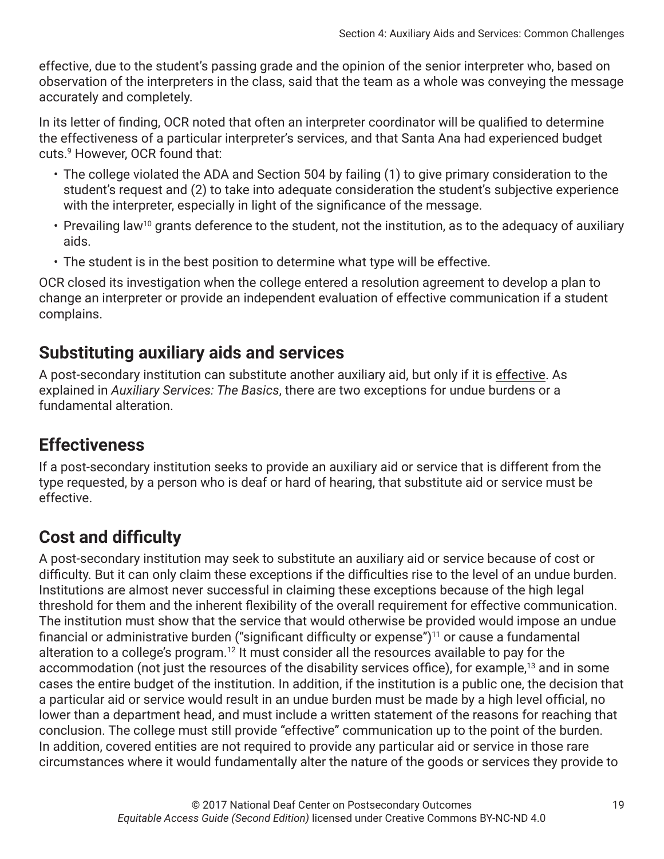effective, due to the student's passing grade and the opinion of the senior interpreter who, based on observation of the interpreters in the class, said that the team as a whole was conveying the message accurately and completely.

In its letter of finding, OCR noted that often an interpreter coordinator will be qualified to determine the effectiveness of a particular interpreter's services, and that Santa Ana had experienced budget cuts.9 However, OCR found that:

- The college violated the ADA and Section 504 by failing (1) to give primary consideration to the student's request and (2) to take into adequate consideration the student's subjective experience with the interpreter, especially in light of the significance of the message.
- Prevailing law<sup>10</sup> grants deference to the student, not the institution, as to the adequacy of auxiliary aids.
- The student is in the best position to determine what type will be effective.

OCR closed its investigation when the college entered a resolution agreement to develop a plan to change an interpreter or provide an independent evaluation of effective communication if a student complains.

## **Substituting auxiliary aids and services**

A post-secondary institution can substitute another auxiliary aid, but only if it is effective. As explained in *Auxiliary Services: The Basics*, there are two exceptions for undue burdens or a fundamental alteration.

# **Effectiveness**

If a post-secondary institution seeks to provide an auxiliary aid or service that is different from the type requested, by a person who is deaf or hard of hearing, that substitute aid or service must be effective.

# **Cost and difficulty**

A post-secondary institution may seek to substitute an auxiliary aid or service because of cost or difficulty. But it can only claim these exceptions if the difficulties rise to the level of an undue burden. Institutions are almost never successful in claiming these exceptions because of the high legal threshold for them and the inherent flexibility of the overall requirement for effective communication. The institution must show that the service that would otherwise be provided would impose an undue financial or administrative burden ("significant difficulty or expense") $11$  or cause a fundamental alteration to a college's program.<sup>12</sup> It must consider all the resources available to pay for the accommodation (not just the resources of the disability services office), for example,<sup>13</sup> and in some cases the entire budget of the institution. In addition, if the institution is a public one, the decision that a particular aid or service would result in an undue burden must be made by a high level official, no lower than a department head, and must include a written statement of the reasons for reaching that conclusion. The college must still provide "effective" communication up to the point of the burden. In addition, covered entities are not required to provide any particular aid or service in those rare circumstances where it would fundamentally alter the nature of the goods or services they provide to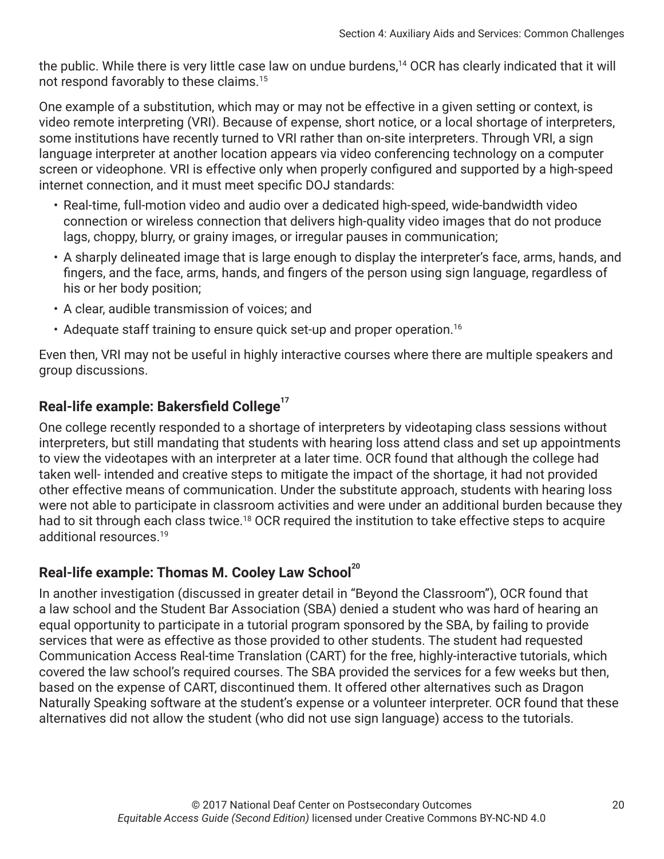the public. While there is very little case law on undue burdens,<sup>14</sup> OCR has clearly indicated that it will not respond favorably to these claims.15

One example of a substitution, which may or may not be effective in a given setting or context, is video remote interpreting (VRI). Because of expense, short notice, or a local shortage of interpreters, some institutions have recently turned to VRI rather than on-site interpreters. Through VRI, a sign language interpreter at another location appears via video conferencing technology on a computer screen or videophone. VRI is effective only when properly configured and supported by a high-speed internet connection, and it must meet specific DOJ standards:

- Real-time, full-motion video and audio over a dedicated high-speed, wide-bandwidth video connection or wireless connection that delivers high-quality video images that do not produce lags, choppy, blurry, or grainy images, or irregular pauses in communication;
- A sharply delineated image that is large enough to display the interpreter's face, arms, hands, and fingers, and the face, arms, hands, and fingers of the person using sign language, regardless of his or her body position;
- A clear, audible transmission of voices; and
- Adequate staff training to ensure quick set-up and proper operation.<sup>16</sup>

Even then, VRI may not be useful in highly interactive courses where there are multiple speakers and group discussions.

### **Real-life example: Bakersfield College<sup>17</sup>**

One college recently responded to a shortage of interpreters by videotaping class sessions without interpreters, but still mandating that students with hearing loss attend class and set up appointments to view the videotapes with an interpreter at a later time. OCR found that although the college had taken well- intended and creative steps to mitigate the impact of the shortage, it had not provided other effective means of communication. Under the substitute approach, students with hearing loss were not able to participate in classroom activities and were under an additional burden because they had to sit through each class twice.<sup>18</sup> OCR required the institution to take effective steps to acquire additional resources.19

#### **Real-life example: Thomas M. Cooley Law School<sup>20</sup>**

In another investigation (discussed in greater detail in "Beyond the Classroom"), OCR found that a law school and the Student Bar Association (SBA) denied a student who was hard of hearing an equal opportunity to participate in a tutorial program sponsored by the SBA, by failing to provide services that were as effective as those provided to other students. The student had requested Communication Access Real-time Translation (CART) for the free, highly-interactive tutorials, which covered the law school's required courses. The SBA provided the services for a few weeks but then, based on the expense of CART, discontinued them. It offered other alternatives such as Dragon Naturally Speaking software at the student's expense or a volunteer interpreter. OCR found that these alternatives did not allow the student (who did not use sign language) access to the tutorials.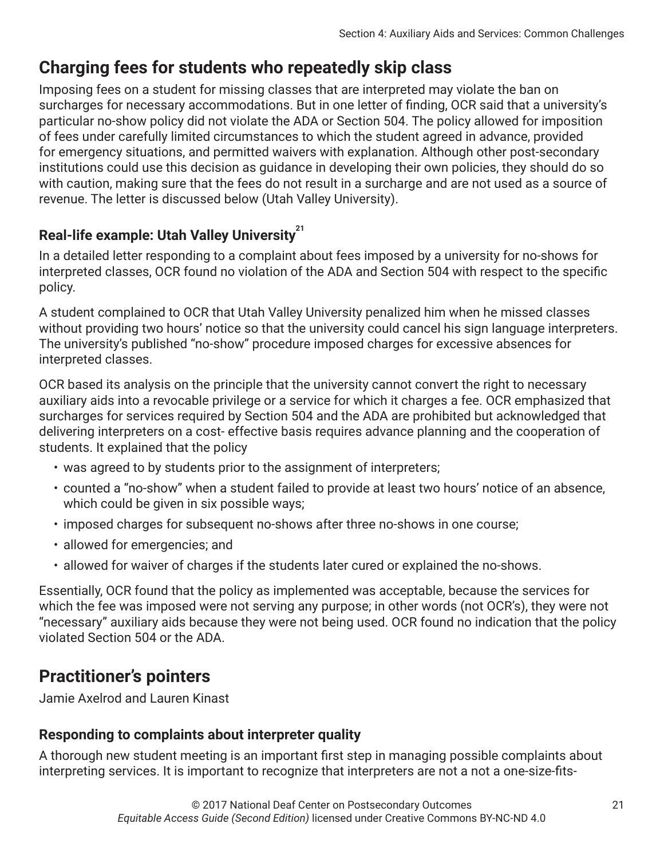# **Charging fees for students who repeatedly skip class**

Imposing fees on a student for missing classes that are interpreted may violate the ban on surcharges for necessary accommodations. But in one letter of finding, OCR said that a university's particular no-show policy did not violate the ADA or Section 504. The policy allowed for imposition of fees under carefully limited circumstances to which the student agreed in advance, provided for emergency situations, and permitted waivers with explanation. Although other post-secondary institutions could use this decision as guidance in developing their own policies, they should do so with caution, making sure that the fees do not result in a surcharge and are not used as a source of revenue. The letter is discussed below (Utah Valley University).

### **Real-life example: Utah Valley University<sup>21</sup>**

In a detailed letter responding to a complaint about fees imposed by a university for no-shows for interpreted classes, OCR found no violation of the ADA and Section 504 with respect to the specific policy.

A student complained to OCR that Utah Valley University penalized him when he missed classes without providing two hours' notice so that the university could cancel his sign language interpreters. The university's published "no-show" procedure imposed charges for excessive absences for interpreted classes.

OCR based its analysis on the principle that the university cannot convert the right to necessary auxiliary aids into a revocable privilege or a service for which it charges a fee. OCR emphasized that surcharges for services required by Section 504 and the ADA are prohibited but acknowledged that delivering interpreters on a cost- effective basis requires advance planning and the cooperation of students. It explained that the policy

- was agreed to by students prior to the assignment of interpreters;
- counted a "no-show" when a student failed to provide at least two hours' notice of an absence, which could be given in six possible ways;
- imposed charges for subsequent no-shows after three no-shows in one course;
- allowed for emergencies; and
- allowed for waiver of charges if the students later cured or explained the no-shows.

Essentially, OCR found that the policy as implemented was acceptable, because the services for which the fee was imposed were not serving any purpose; in other words (not OCR's), they were not "necessary" auxiliary aids because they were not being used. OCR found no indication that the policy violated Section 504 or the ADA.

## **Practitioner's pointers**

Jamie Axelrod and Lauren Kinast

#### **Responding to complaints about interpreter quality**

A thorough new student meeting is an important first step in managing possible complaints about interpreting services. It is important to recognize that interpreters are not a not a one-size-fits-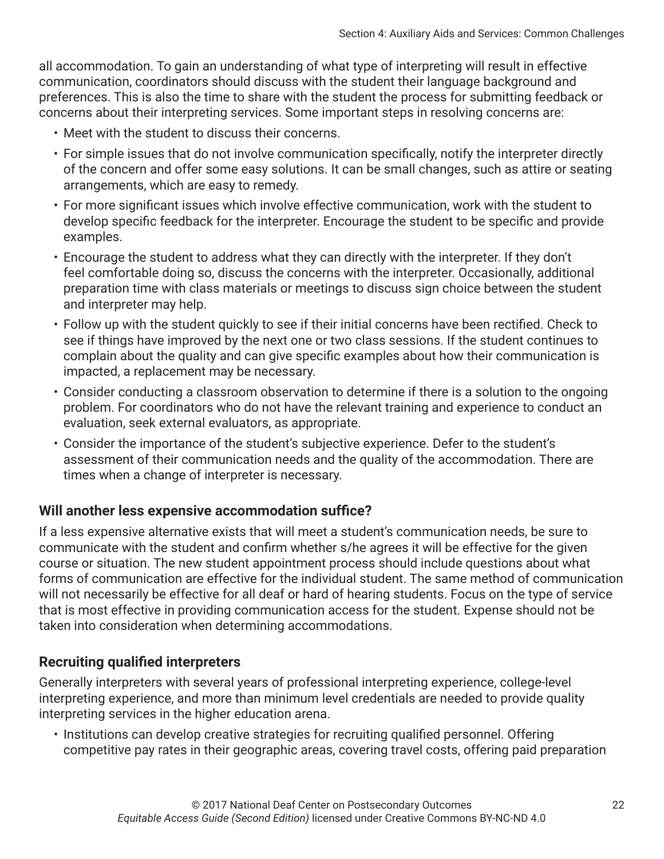all accommodation. To gain an understanding of what type of interpreting will result in effective communication, coordinators should discuss with the student their language background and preferences. This is also the time to share with the student the process for submitting feedback or concerns about their interpreting services. Some important steps in resolving concerns are:

- Meet with the student to discuss their concerns.
- For simple issues that do not involve communication specifically, notify the interpreter directly of the concern and offer some easy solutions. It can be small changes, such as attire or seating arrangements, which are easy to remedy.
- For more significant issues which involve effective communication, work with the student to develop specific feedback for the interpreter. Encourage the student to be specific and provide examples.
- Encourage the student to address what they can directly with the interpreter. If they don't feel comfortable doing so, discuss the concerns with the interpreter. Occasionally, additional preparation time with class materials or meetings to discuss sign choice between the student and interpreter may help.
- Follow up with the student quickly to see if their initial concerns have been rectified. Check to see if things have improved by the next one or two class sessions. If the student continues to complain about the quality and can give specific examples about how their communication is impacted, a replacement may be necessary.
- Consider conducting a classroom observation to determine if there is a solution to the ongoing problem. For coordinators who do not have the relevant training and experience to conduct an evaluation, seek external evaluators, as appropriate.
- Consider the importance of the student's subjective experience. Defer to the student's assessment of their communication needs and the quality of the accommodation. There are times when a change of interpreter is necessary.

#### **Will another less expensive accommodation suffice?**

If a less expensive alternative exists that will meet a student's communication needs, be sure to communicate with the student and confirm whether s/he agrees it will be effective for the given course or situation. The new student appointment process should include questions about what forms of communication are effective for the individual student. The same method of communication will not necessarily be effective for all deaf or hard of hearing students. Focus on the type of service that is most effective in providing communication access for the student. Expense should not be taken into consideration when determining accommodations.

#### **Recruiting qualified interpreters**

Generally interpreters with several years of professional interpreting experience, college-level interpreting experience, and more than minimum level credentials are needed to provide quality interpreting services in the higher education arena.

• Institutions can develop creative strategies for recruiting qualified personnel. Offering competitive pay rates in their geographic areas, covering travel costs, offering paid preparation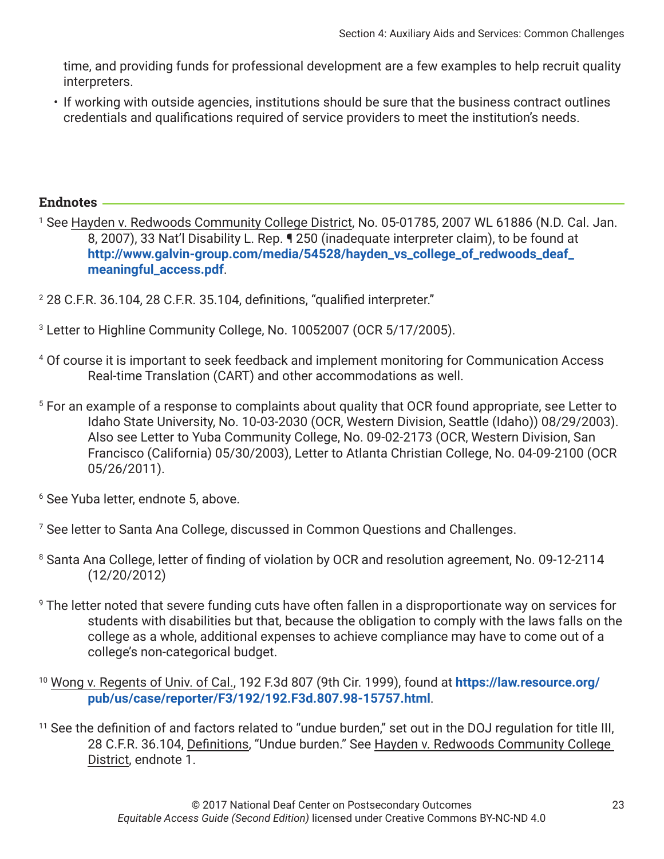time, and providing funds for professional development are a few examples to help recruit quality interpreters.

• If working with outside agencies, institutions should be sure that the business contract outlines credentials and qualifications required of service providers to meet the institution's needs.

#### **Endnotes**

- <sup>1</sup> See <u>Hayden v. Redwoods Community College District</u>, No. 05-01785, 2007 WL 61886 (N.D. Cal. Jan. 8, 2007), 33 Nat'l Disability L. Rep. ¶ 250 (inadequate interpreter claim), to be found at **[http://www.galvin-group.com/media/54528/hayden\\_vs\\_college\\_of\\_redwoods\\_deaf\\_](http://www.galvin-group.com/media/54528/hayden_vs_college_of_redwoods_deaf_meaningful_access.pdf) [meaningful\\_access.pdf](http://www.galvin-group.com/media/54528/hayden_vs_college_of_redwoods_deaf_meaningful_access.pdf)**.
- $^{\rm 2}$  28 C.F.R. 36.104, 28 C.F.R. 35.104, definitions, "qualified interpreter."
- 3 Letter to Highline Community College, No. 10052007 (OCR 5/17/2005).
- 4 Of course it is important to seek feedback and implement monitoring for Communication Access Real-time Translation (CART) and other accommodations as well.
- 5 For an example of a response to complaints about quality that OCR found appropriate, see Letter to Idaho State University, No. 10-03-2030 (OCR, Western Division, Seattle (Idaho)) 08/29/2003). Also see Letter to Yuba Community College, No. 09-02-2173 (OCR, Western Division, San Francisco (California) 05/30/2003), Letter to Atlanta Christian College, No. 04-09-2100 (OCR 05/26/2011).
- 6 See Yuba letter, endnote 5, above.
- 7 See letter to Santa Ana College, discussed in Common Questions and Challenges.
- 8 Santa Ana College, letter of finding of violation by OCR and resolution agreement, No. 09-12-2114 (12/20/2012)
- 9 The letter noted that severe funding cuts have often fallen in a disproportionate way on services for students with disabilities but that, because the obligation to comply with the laws falls on the college as a whole, additional expenses to achieve compliance may have to come out of a college's non-categorical budget.
- <sup>10</sup> Wong v. Regents of Univ. of Cal., 192 F.3d 807 (9th Cir. 1999), found at **[https://law.resource.org/](https://law.resource.org/pub/us/case/reporter/F3/192/192.F3d.807.98-15757.html) [pub/us/case/reporter/F3/192/192.F3d.807.98-15757.html](https://law.resource.org/pub/us/case/reporter/F3/192/192.F3d.807.98-15757.html)**.
- <sup>11</sup> See the definition of and factors related to "undue burden," set out in the DOJ regulation for title III, 28 C.F.R. 36.104, Definitions, "Undue burden." See Hayden v. Redwoods Community College District, endnote 1.